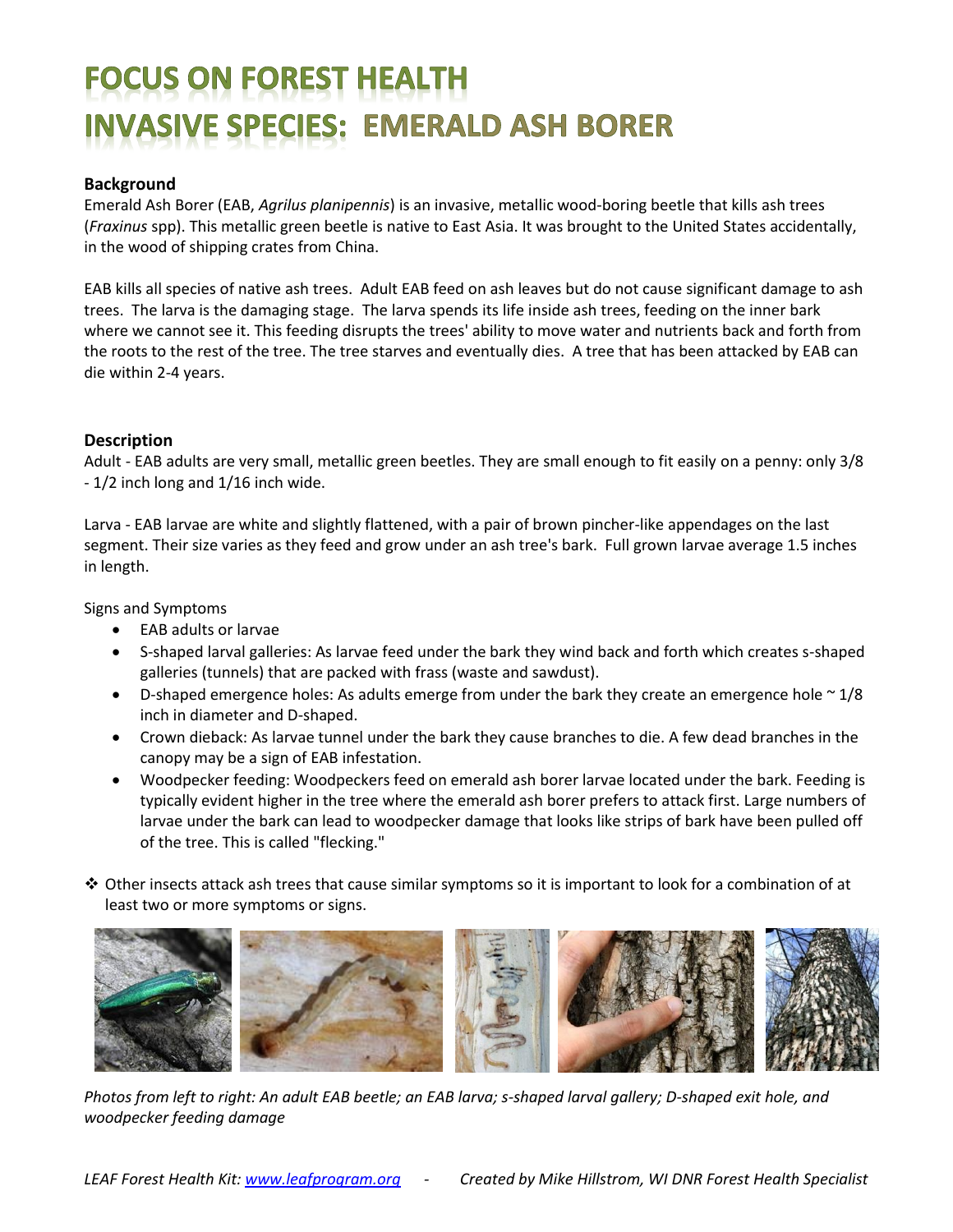# **FOCUS ON FOREST HEALTH INVASIVE SPECIES: EMERALD ASH BORER**

### **Background**

Emerald Ash Borer (EAB, *Agrilus planipennis*) is an invasive, metallic wood-boring beetle that kills ash trees (*Fraxinus* spp). This metallic green beetle is native to East Asia. It was brought to the United States accidentally, in the wood of shipping crates from China.

EAB kills all species of native ash trees. Adult EAB feed on ash leaves but do not cause significant damage to ash trees. The larva is the damaging stage. The larva spends its life inside ash trees, feeding on the inner bark where we cannot see it. This feeding disrupts the trees' ability to move water and nutrients back and forth from the roots to the rest of the tree. The tree starves and eventually dies. A tree that has been attacked by EAB can die within 2-4 years.

### **Description**

Adult - EAB adults are very small, metallic green beetles. They are small enough to fit easily on a penny: only 3/8 - 1/2 inch long and 1/16 inch wide.

Larva - EAB larvae are white and slightly flattened, with a pair of brown pincher-like appendages on the last segment. Their size varies as they feed and grow under an ash tree's bark. Full grown larvae average 1.5 inches in length.

Signs and Symptoms

- EAB adults or larvae
- S-shaped larval galleries: As larvae feed under the bark they wind back and forth which creates s-shaped galleries (tunnels) that are packed with frass (waste and sawdust).
- $\bullet$  D-shaped emergence holes: As adults emerge from under the bark they create an emergence hole  $\sim$  1/8 inch in diameter and D-shaped.
- Crown dieback: As larvae tunnel under the bark they cause branches to die. A few dead branches in the canopy may be a sign of EAB infestation.
- Woodpecker feeding: Woodpeckers feed on emerald ash borer larvae located under the bark. Feeding is typically evident higher in the tree where the emerald ash borer prefers to attack first. Large numbers of larvae under the bark can lead to woodpecker damage that looks like strips of bark have been pulled off of the tree. This is called "flecking."
- $\clubsuit$  Other insects attack ash trees that cause similar symptoms so it is important to look for a combination of at least two or more symptoms or signs.



*Photos from left to right: An adult EAB beetle; an EAB larva; s-shaped larval gallery; D-shaped exit hole, and woodpecker feeding damage*